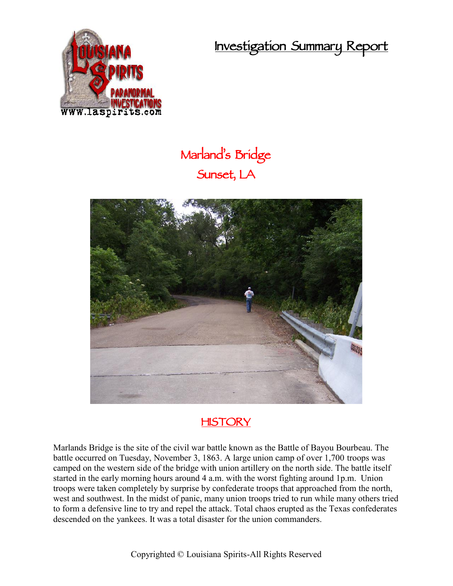**Investigation Summary Report**



## **Marland's Bridge Sunset, LA**





Marlands Bridge is the site of the civil war battle known as the Battle of Bayou Bourbeau. The battle occurred on Tuesday, November 3, 1863. A large union camp of over 1,700 troops was camped on the western side of the bridge with union artillery on the north side. The battle itself started in the early morning hours around 4 a.m. with the worst fighting around 1p.m. Union troops were taken completely by surprise by confederate troops that approached from the north, west and southwest. In the midst of panic, many union troops tried to run while many others tried to form a defensive line to try and repel the attack. Total chaos erupted as the Texas confederates descended on the yankees. It was a total disaster for the union commanders.